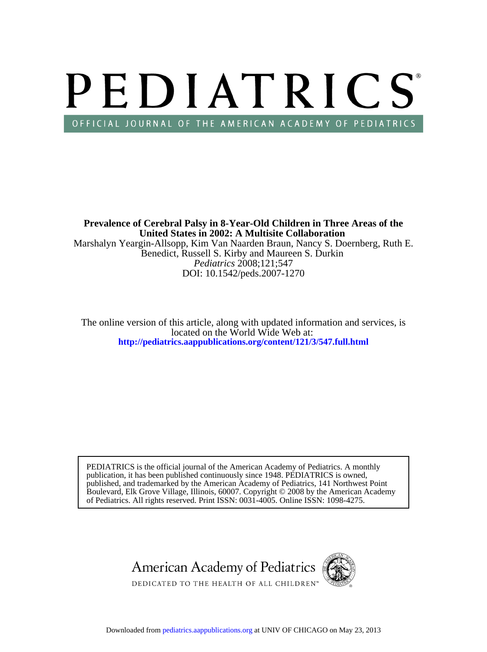# PEDIATRICS OFFICIAL JOURNAL OF THE AMERICAN ACADEMY OF PEDIATRICS

DOI: 10.1542/peds.2007-1270 *Pediatrics* 2008;121;547 Benedict, Russell S. Kirby and Maureen S. Durkin Marshalyn Yeargin-Allsopp, Kim Van Naarden Braun, Nancy S. Doernberg, Ruth E. **United States in 2002: A Multisite Collaboration Prevalence of Cerebral Palsy in 8-Year-Old Children in Three Areas of the**

**<http://pediatrics.aappublications.org/content/121/3/547.full.html>** located on the World Wide Web at: The online version of this article, along with updated information and services, is

of Pediatrics. All rights reserved. Print ISSN: 0031-4005. Online ISSN: 1098-4275. Boulevard, Elk Grove Village, Illinois, 60007. Copyright © 2008 by the American Academy published, and trademarked by the American Academy of Pediatrics, 141 Northwest Point publication, it has been published continuously since 1948. PEDIATRICS is owned, PEDIATRICS is the official journal of the American Academy of Pediatrics. A monthly

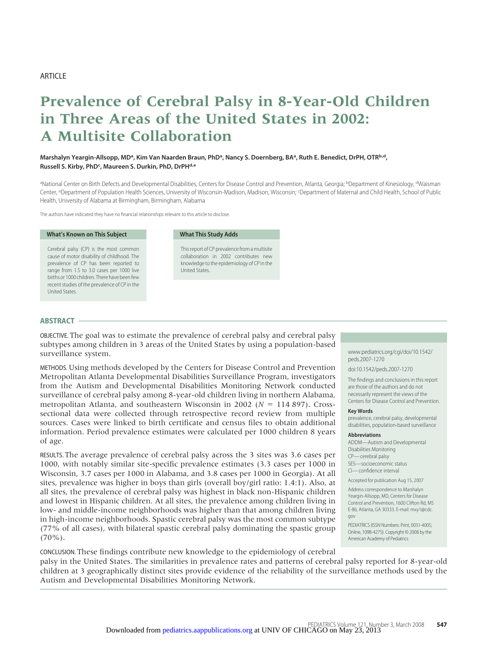# ARTICLE

# **Prevalence of Cerebral Palsy in 8-Year-Old Children in Three Areas of the United States in 2002: A Multisite Collaboration**

## Marshalyn Yeargin-Allsopp, MD<sup>a</sup>, Kim Van Naarden Braun, PhD<sup>a</sup>, Nancy S. Doernberg, BA<sup>a</sup>, Ruth E. Benedict, DrPH, OTRb,d, **Russell S. Kirby, PhDc , Maureen S. Durkin, PhD, DrPHd,e**

<sup>a</sup>National Center on Birth Defects and Developmental Disabilities, Centers for Disease Control and Prevention, Atlanta, Georgia; <sup>b</sup>Department of Kinesiology, <sup>d</sup>Waisman Center, <sup>e</sup>Department of Population Health Sciences, University of Wisconsin-Madison, Madison, Wisconsin; <sup>c</sup>Department of Maternal and Child Health, School of Public Health, University of Alabama at Birmingham, Birmingham, Alabama

The authors have indicated they have no financial relationships relevant to this article to disclose.

#### **What's Known on This Subject**

Cerebral palsy (CP) is the most common cause of motor disability of childhood. The prevalence of CP has been reported to range from 1.5 to 3.0 cases per 1000 live births or 1000 children. There have been few recent studies of the prevalence of CP in the United States.

#### **What This Study Adds**

This report of CP prevalence from a multisite collaboration in 2002 contributes new knowledge to the epidemiology of CP in the United States.

#### **ABSTRACT**

OBJECTIVE. The goal was to estimate the prevalence of cerebral palsy and cerebral palsy subtypes among children in 3 areas of the United States by using a population-based surveillance system.

METHODS. Using methods developed by the Centers for Disease Control and Prevention Metropolitan Atlanta Developmental Disabilities Surveillance Program, investigators from the Autism and Developmental Disabilities Monitoring Network conducted surveillance of cerebral palsy among 8-year-old children living in northern Alabama, metropolitan Atlanta, and southeastern Wisconsin in 2002 ( $N = 114897$ ). Crosssectional data were collected through retrospective record review from multiple sources. Cases were linked to birth certificate and census files to obtain additional information. Period prevalence estimates were calculated per 1000 children 8 years of age.

RESULTS. The average prevalence of cerebral palsy across the 3 sites was 3.6 cases per 1000, with notably similar site-specific prevalence estimates (3.3 cases per 1000 in Wisconsin, 3.7 cases per 1000 in Alabama, and 3.8 cases per 1000 in Georgia). At all sites, prevalence was higher in boys than girls (overall boy/girl ratio: 1.4:1). Also, at all sites, the prevalence of cerebral palsy was highest in black non-Hispanic children and lowest in Hispanic children. At all sites, the prevalence among children living in low- and middle-income neighborhoods was higher than that among children living in high-income neighborhoods. Spastic cerebral palsy was the most common subtype (77% of all cases), with bilateral spastic cerebral palsy dominating the spastic group  $(70\%)$ .

www.pediatrics.org/cgi/doi/10.1542/ peds.2007-1270

doi:10.1542/peds.2007-1270

The findings and conclusions in this report are those of the authors and do not necessarily represent the views of the Centers for Disease Control and Prevention.

#### **Key Words**

prevalence, cerebral palsy, developmental disabilities, population-based surveillance

#### **Abbreviations**

ADDM—Autism and Developmental Disabilities Monitoring CP— cerebral palsy SES—socioeconomic status CI— confidence interval

Accepted for publication Aug 15, 2007

Address correspondence to Marshalyn Yeargin-Allsopp, MD, Centers for Disease Control and Prevention, 1600 Clifton Rd, MS E-86, Atlanta, GA 30333. E-mail: mxy1@cdc. gov

PEDIATRICS (ISSN Numbers: Print, 0031-4005; Online, 1098-4275). Copyright © 2008 by the American Academy of Pediatrics

CONCLUSION. These findings contribute new knowledge to the epidemiology of cerebral palsy in the United States. The similarities in prevalence rates and patterns of cerebral palsy reported for 8-year-old children at 3 geographically distinct sites provide evidence of the reliability of the surveillance methods used by the Autism and Developmental Disabilities Monitoring Network.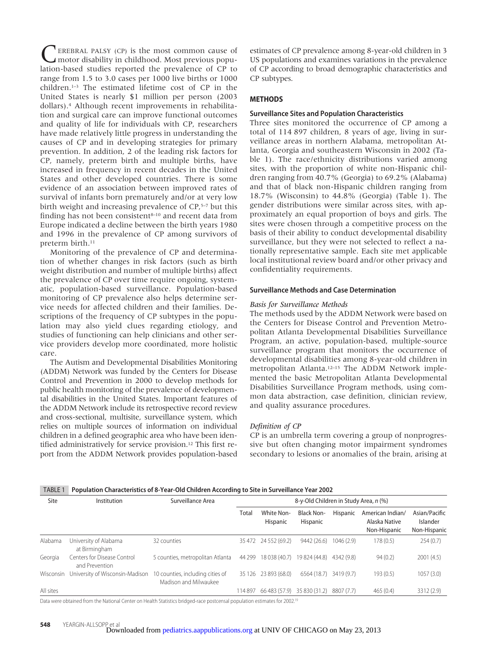survival of infants born prematurely and/or at very low birth weight and increasing prevalence of CP,<sup>5–7</sup> but this finding has not been consistent $8-10$  and recent data from Europe indicated a decline between the birth years 1980 and 1996 in the prevalence of CP among survivors of preterm birth.<sup>11</sup> Monitoring of the prevalence of CP and determination of whether changes in risk factors (such as birth weight distribution and number of multiple births) affect the prevalence of CP over time require ongoing, systematic, population-based surveillance. Population-based monitoring of CP prevalence also helps determine service needs for affected children and their families. Descriptions of the frequency of CP subtypes in the population may also yield clues regarding etiology, and studies of functioning can help clinicians and other service providers develop more coordinated, more holistic care. The Autism and Developmental Disabilities Monitoring (ADDM) Network was funded by the Centers for Disease Control and Prevention in 2000 to develop methods for public health monitoring of the prevalence of developmental disabilities in the United States. Important features of the ADDM Network include its retrospective record review

EREBRAL PALSY (CP) is the most common cause of motor disability in childhood. Most previous population-based studies reported the prevalence of CP to range from 1.5 to 3.0 cases per 1000 live births or 1000 children.1–3 The estimated lifetime cost of CP in the United States is nearly \$1 million per person (2003 dollars).4 Although recent improvements in rehabilitation and surgical care can improve functional outcomes and quality of life for individuals with CP, researchers have made relatively little progress in understanding the causes of CP and in developing strategies for primary prevention. In addition, 2 of the leading risk factors for CP, namely, preterm birth and multiple births, have increased in frequency in recent decades in the United States and other developed countries. There is some evidence of an association between improved rates of

and cross-sectional, multisite, surveillance system, which relies on multiple sources of information on individual children in a defined geographic area who have been identified administratively for service provision.12 This first report from the ADDM Network provides population-based

estimates of CP prevalence among 8-year-old children in 3 US populations and examines variations in the prevalence of CP according to broad demographic characteristics and CP subtypes.

# **METHODS**

## **Surveillance Sites and Population Characteristics**

Three sites monitored the occurrence of CP among a total of 114 897 children, 8 years of age, living in surveillance areas in northern Alabama, metropolitan Atlanta, Georgia and southeastern Wisconsin in 2002 (Table 1). The race/ethnicity distributions varied among sites, with the proportion of white non-Hispanic children ranging from 40.7% (Georgia) to 69.2% (Alabama) and that of black non-Hispanic children ranging from 18.7% (Wisconsin) to 44.8% (Georgia) (Table 1). The gender distributions were similar across sites, with approximately an equal proportion of boys and girls. The sites were chosen through a competitive process on the basis of their ability to conduct developmental disability surveillance, but they were not selected to reflect a nationally representative sample. Each site met applicable local institutional review board and/or other privacy and confidentiality requirements.

#### **Surveillance Methods and Case Determination**

#### *Basis for Surveillance Methods*

The methods used by the ADDM Network were based on the Centers for Disease Control and Prevention Metropolitan Atlanta Developmental Disabilities Surveillance Program, an active, population-based, multiple-source surveillance program that monitors the occurrence of developmental disabilities among 8-year-old children in metropolitan Atlanta.12–15 The ADDM Network implemented the basic Metropolitan Atlanta Developmental Disabilities Surveillance Program methods, using common data abstraction, case definition, clinician review, and quality assurance procedures.

#### *Definition of CP*

CP is an umbrella term covering a group of nonprogressive but often changing motor impairment syndromes secondary to lesions or anomalies of the brain, arising at

| TABLE 1 Population Characteristics of 8-Year-Old Children According to Site in Surveillance Year 2002 |  |
|-------------------------------------------------------------------------------------------------------|--|
|                                                                                                       |  |

| Site      | Institution                                   | Surveillance Area                                         |        |                                    |                               |            | 8-y-Old Children in Study Area, n (%)             |                                           |  |
|-----------|-----------------------------------------------|-----------------------------------------------------------|--------|------------------------------------|-------------------------------|------------|---------------------------------------------------|-------------------------------------------|--|
|           |                                               |                                                           | Total  | White Non-<br>Hispanic             | <b>Black Non-</b><br>Hispanic | Hispanic   | American Indian/<br>Alaska Native<br>Non-Hispanic | Asian/Pacific<br>Islander<br>Non-Hispanic |  |
| Alabama   | University of Alabama<br>at Birmingham        | 32 counties                                               |        | 35 472 24 552 (69.2)               | 9442 (26.6)                   | 1046(2.9)  | 178(0.5)                                          | 254(0.7)                                  |  |
| Georgia   | Centers for Disease Control<br>and Prevention | 5 counties, metropolitan Atlanta                          |        | 44 299 18 038 (40.7) 19 824 (44.8) |                               | 4342 (9.8) | 94(0.2)                                           | 2001(4.5)                                 |  |
| Wisconsin | University of Wisconsin-Madison               | 10 counties, including cities of<br>Madison and Milwaukee |        | 35 126 23 893 (68.0)               | 6564 (18.7)                   | 3419 (9.7) | 193(0.5)                                          | 1057(3.0)                                 |  |
| All sites |                                               |                                                           | 114897 | 66 483 (57.9) 35 830 (31.2)        |                               | 8807 (7.7) | 465(0.4)                                          | 3312 (2.9)                                |  |

Data were obtained from the National Center on Health Statistics bridged-race postcensal population estimates for 2002.<sup>19</sup>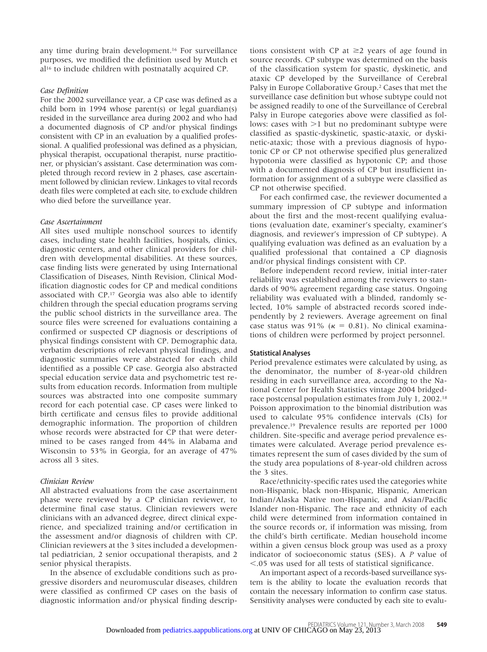any time during brain development.16 For surveillance purposes, we modified the definition used by Mutch et al16 to include children with postnatally acquired CP.

#### *Case Definition*

For the 2002 surveillance year, a CP case was defined as a child born in 1994 whose parent(s) or legal guardian(s) resided in the surveillance area during 2002 and who had a documented diagnosis of CP and/or physical findings consistent with CP in an evaluation by a qualified professional. A qualified professional was defined as a physician, physical therapist, occupational therapist, nurse practitioner, or physician's assistant. Case determination was completed through record review in 2 phases, case ascertainment followed by clinician review. Linkages to vital records death files were completed at each site, to exclude children who died before the surveillance year.

#### *Case Ascertainment*

All sites used multiple nonschool sources to identify cases, including state health facilities, hospitals, clinics, diagnostic centers, and other clinical providers for children with developmental disabilities. At these sources, case finding lists were generated by using International Classification of Diseases, Ninth Revision, Clinical Modification diagnostic codes for CP and medical conditions associated with CP.17 Georgia was also able to identify children through the special education programs serving the public school districts in the surveillance area. The source files were screened for evaluations containing a confirmed or suspected CP diagnosis or descriptions of physical findings consistent with CP. Demographic data, verbatim descriptions of relevant physical findings, and diagnostic summaries were abstracted for each child identified as a possible CP case. Georgia also abstracted special education service data and psychometric test results from education records. Information from multiple sources was abstracted into one composite summary record for each potential case. CP cases were linked to birth certificate and census files to provide additional demographic information. The proportion of children whose records were abstracted for CP that were determined to be cases ranged from 44% in Alabama and Wisconsin to 53% in Georgia, for an average of 47% across all 3 sites.

# *Clinician Review*

All abstracted evaluations from the case ascertainment phase were reviewed by a CP clinician reviewer, to determine final case status. Clinician reviewers were clinicians with an advanced degree, direct clinical experience, and specialized training and/or certification in the assessment and/or diagnosis of children with CP. Clinician reviewers at the 3 sites included a developmental pediatrician, 2 senior occupational therapists, and 2 senior physical therapists.

In the absence of excludable conditions such as progressive disorders and neuromuscular diseases, children were classified as confirmed CP cases on the basis of diagnostic information and/or physical finding descriptions consistent with CP at  $\geq$ 2 years of age found in source records. CP subtype was determined on the basis of the classification system for spastic, dyskinetic, and ataxic CP developed by the Surveillance of Cerebral Palsy in Europe Collaborative Group.2 Cases that met the surveillance case definition but whose subtype could not be assigned readily to one of the Surveillance of Cerebral Palsy in Europe categories above were classified as follows: cases with  $>1$  but no predominant subtype were classified as spastic-dyskinetic, spastic-ataxic, or dyskinetic-ataxic; those with a previous diagnosis of hypotonic CP or CP not otherwise specified plus generalized hypotonia were classified as hypotonic CP; and those with a documented diagnosis of CP but insufficient information for assignment of a subtype were classified as CP not otherwise specified.

For each confirmed case, the reviewer documented a summary impression of CP subtype and information about the first and the most-recent qualifying evaluations (evaluation date, examiner's specialty, examiner's diagnosis, and reviewer's impression of CP subtype). A qualifying evaluation was defined as an evaluation by a qualified professional that contained a CP diagnosis and/or physical findings consistent with CP.

Before independent record review, initial inter-rater reliability was established among the reviewers to standards of 90% agreement regarding case status. Ongoing reliability was evaluated with a blinded, randomly selected, 10% sample of abstracted records scored independently by 2 reviewers. Average agreement on final case status was 91% ( $\kappa = 0.81$ ). No clinical examinations of children were performed by project personnel.

# **Statistical Analyses**

Period prevalence estimates were calculated by using, as the denominator, the number of 8-year-old children residing in each surveillance area, according to the National Center for Health Statistics vintage 2004 bridgedrace postcensal population estimates from July 1, 2002.18 Poisson approximation to the binomial distribution was used to calculate 95% confidence intervals (CIs) for prevalence.19 Prevalence results are reported per 1000 children. Site-specific and average period prevalence estimates were calculated. Average period prevalence estimates represent the sum of cases divided by the sum of the study area populations of 8-year-old children across the 3 sites.

Race/ethnicity-specific rates used the categories white non-Hispanic, black non-Hispanic, Hispanic, American Indian/Alaska Native non-Hispanic, and Asian/Pacific Islander non-Hispanic. The race and ethnicity of each child were determined from information contained in the source records or, if information was missing, from the child's birth certificate. Median household income within a given census block group was used as a proxy indicator of socioeconomic status (SES). A *P* value of .05 was used for all tests of statistical significance.

An important aspect of a records-based surveillance system is the ability to locate the evaluation records that contain the necessary information to confirm case status. Sensitivity analyses were conducted by each site to evalu-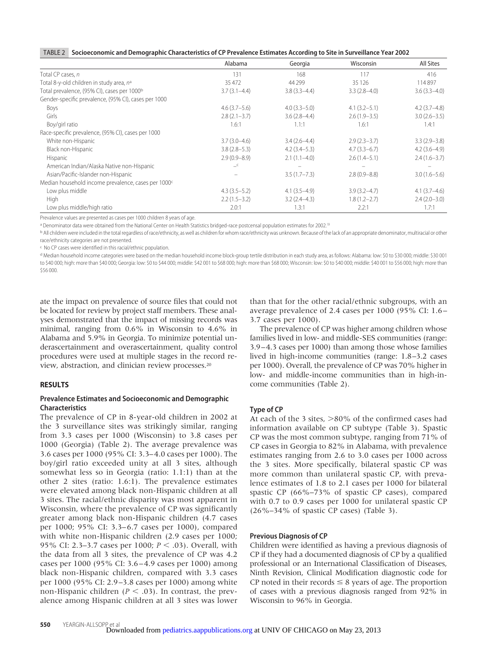|  | TABLE 2 Socioeconomic and Demographic Characteristics of CP Prevalence Estimates According to Site in Surveillance Year 2002 |
|--|------------------------------------------------------------------------------------------------------------------------------|
|  |                                                                                                                              |

|                                                                 | Alabama          | Georgia          | Wisconsin        | All Sites        |
|-----------------------------------------------------------------|------------------|------------------|------------------|------------------|
| Total CP cases, n                                               | 131              | 168              | 117              | 416              |
| Total 8-y-old children in study area, nª                        | 35 472           | 44 299           | 35 1 26          | 114897           |
| Total prevalence, (95% CI), cases per 1000 <sup>b</sup>         | $3.7(3.1 - 4.4)$ | $3.8(3.3 - 4.4)$ | $3.3(2.8-4.0)$   | $3.6(3.3-4.0)$   |
| Gender-specific prevalence, (95% CI), cases per 1000            |                  |                  |                  |                  |
| Boys                                                            | $4.6(3.7-5.6)$   | $4.0(3.3-5.0)$   | $4.1(3.2 - 5.1)$ | $4.2(3.7-4.8)$   |
| Girls                                                           | $2.8(2.1-3.7)$   | $3.6(2.8-4.4)$   | $2.6(1.9-3.5)$   | $3.0(2.6 - 3.5)$ |
| Boy/girl ratio                                                  | 1.6:1            | 1.1:1            | 1.6:1            | 1.4:1            |
| Race-specific prevalence, (95% CI), cases per 1000              |                  |                  |                  |                  |
| White non-Hispanic                                              | $3.7(3.0-4.6)$   | $3.4(2.6-4.4)$   | $2.9(2.3 - 3.7)$ | $3.3(2.9 - 3.8)$ |
| Black non-Hispanic                                              | $3.8(2.8-5.3)$   | $4.2(3.4-5.3)$   | $4.7(3.3-6.7)$   | $4.2(3.6-4.9)$   |
| Hispanic                                                        | $2.9(0.9 - 8.9)$ | $2.1(1.1-4.0)$   | $2.6(1.4-5.1)$   | $2.4(1.6-3.7)$   |
| American Indian/Alaska Native non-Hispanic                      | $-c$             |                  |                  |                  |
| Asian/Pacific-Islander non-Hispanic                             |                  | $3.5(1.7 - 7.3)$ | $2.8(0.9 - 8.8)$ | $3.0(1.6 - 5.6)$ |
| Median household income prevalence, cases per 1000 <sup>c</sup> |                  |                  |                  |                  |
| Low plus middle                                                 | $4.3(3.5-5.2)$   | $4.1(3.5-4.9)$   | $3.9(3.2 - 4.7)$ | $4.1(3.7-4.6)$   |
| High                                                            | $2.2(1.5-3.2)$   | $3.2(2.4-4.3)$   | $1.8(1.2 - 2.7)$ | $2.4(2.0-3.0)$   |
| Low plus middle/high ratio                                      | 2.0:1            | 1.3:1            | 2.2:1            | 1.7:1            |

Prevalence values are presented as cases per 1000 children 8 years of age.

a Denominator data were obtained from the National Center on Health Statistics bridged-race postcensal population estimates for 2002.<sup>19</sup>

b All children were included in the total regardless of race/ethnicity, as well as children for whom race/ethnicity was unknown. Because of the lack of an appropriate denominator, multiracial or other race/ethnicity categories are not presented.

c No CP cases were identified in this racial/ethnic population.

d Median household income categories were based on the median household income block-group tertile distribution in each study area, as follows: Alabama: low: \$0 to \$30 000; middle: \$30 001 to \$40 000; high: more than \$40 000; Georgia: low: \$0 to \$44 000; middle: \$42 001 to \$68 000; high: more than \$68 000; Wisconsin: low: \$0 to \$40 000; middle: \$40 001 to \$56 000; high: more than \$56 000.

ate the impact on prevalence of source files that could not be located for review by project staff members. These analyses demonstrated that the impact of missing records was minimal, ranging from 0.6% in Wisconsin to 4.6% in Alabama and 5.9% in Georgia. To minimize potential underascertainment and overascertainment, quality control procedures were used at multiple stages in the record review, abstraction, and clinician review processes.20

#### **RESULTS**

#### **Prevalence Estimates and Socioeconomic and Demographic Characteristics**

The prevalence of CP in 8-year-old children in 2002 at the 3 surveillance sites was strikingly similar, ranging from 3.3 cases per 1000 (Wisconsin) to 3.8 cases per 1000 (Georgia) (Table 2). The average prevalence was 3.6 cases per 1000 (95% CI: 3.3– 4.0 cases per 1000). The boy/girl ratio exceeded unity at all 3 sites, although somewhat less so in Georgia (ratio: 1.1:1) than at the other 2 sites (ratio: 1.6:1). The prevalence estimates were elevated among black non-Hispanic children at all 3 sites. The racial/ethnic disparity was most apparent in Wisconsin, where the prevalence of CP was significantly greater among black non-Hispanic children (4.7 cases per 1000; 95% CI: 3.3–6.7 cases per 1000), compared with white non-Hispanic children (2.9 cases per 1000; 95% CI: 2.3–3.7 cases per 1000; *P* < .03). Overall, with the data from all 3 sites, the prevalence of CP was 4.2 cases per 1000 (95% CI: 3.6 – 4.9 cases per 1000) among black non-Hispanic children, compared with 3.3 cases per 1000 (95% CI: 2.9 –3.8 cases per 1000) among white non-Hispanic children  $(P < .03)$ . In contrast, the prevalence among Hispanic children at all 3 sites was lower than that for the other racial/ethnic subgroups, with an average prevalence of 2.4 cases per 1000 (95% CI: 1.6 – 3.7 cases per 1000).

The prevalence of CP was higher among children whose families lived in low- and middle-SES communities (range: 3.9 –4.3 cases per 1000) than among those whose families lived in high-income communities (range: 1.8–3.2 cases per 1000). Overall, the prevalence of CP was 70% higher in low- and middle-income communities than in high-income communities (Table 2).

#### **Type of CP**

At each of the  $3$  sites,  $>80\%$  of the confirmed cases had information available on CP subtype (Table 3). Spastic CP was the most common subtype, ranging from 71% of CP cases in Georgia to 82% in Alabama, with prevalence estimates ranging from 2.6 to 3.0 cases per 1000 across the 3 sites. More specifically, bilateral spastic CP was more common than unilateral spastic CP, with prevalence estimates of 1.8 to 2.1 cases per 1000 for bilateral spastic CP (66%–73% of spastic CP cases), compared with 0.7 to 0.9 cases per 1000 for unilateral spastic CP  $(26\% - 34\% \text{ of spastic CP cases})$  (Table 3).

#### **Previous Diagnosis of CP**

Children were identified as having a previous diagnosis of CP if they had a documented diagnosis of CP by a qualified professional or an International Classification of Diseases, Ninth Revision, Clinical Modification diagnostic code for CP noted in their records  $\leq$  8 years of age. The proportion of cases with a previous diagnosis ranged from 92% in Wisconsin to 96% in Georgia.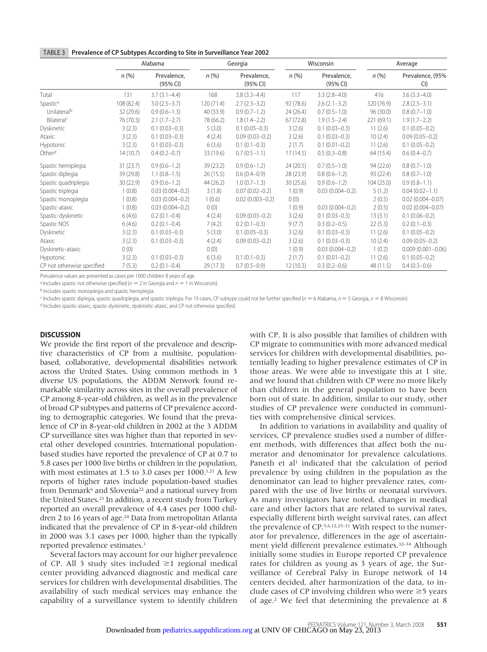|  | TABLE 3 Prevalence of CP Subtypes According to Site in Surveillance Year 2002 |
|--|-------------------------------------------------------------------------------|
|--|-------------------------------------------------------------------------------|

|                            | Alabama    |                         | Georgia    |                         | Wisconsin |                         | Average    |                        |
|----------------------------|------------|-------------------------|------------|-------------------------|-----------|-------------------------|------------|------------------------|
|                            | n(%)       | Prevalence,<br>(95% CI) | n(% )      | Prevalence,<br>(95% CI) | $n$ (%)   | Prevalence,<br>(95% CI) | n(% )      | Prevalence, (95%<br>CI |
| Total                      | 131        | $3.7(3.1 - 4.4)$        | 168        | $3.8(3.3 - 4.4)$        | 117       | $3.3(2.8-4.0)$          | 416        | $3.6(3.3 - 4.0)$       |
| Spastic <sup>a</sup>       | 108 (82.4) | $3.0(2.5-3.7)$          | 120 (71.4) | $2.7(2.3-3.2)$          | 92 (78.6) | $2.6(2.1-3.2)$          | 320 (76.9) | $2.8(2.5-3.1)$         |
| Unilateral <sup>b</sup>    | 32 (29.6)  | $0.9(0.6-1.3)$          | 40 (33.9)  | $0.9(0.7-1.2)$          | 24(26.4)  | $0.7(0.5-1.0)$          | 96 (30.0)  | $0.8(0.7-1.0)$         |
| Bilateral <sup>c</sup>     | 76 (70.3)  | $2.1(1.7-2.7)$          | 78 (66.2)  | $1.8(1.4-2.2)$          | 67(72.8)  | $1.9(1.5-2.4)$          | 221 (69.1) | $1.9(1.7-2.2)$         |
| Dyskinetic                 | 3(2.3)     | $0.1(0.03 - 0.3)$       | 5(3.0)     | $0.1(0.05 - 0.3)$       | 3(2.6)    | $0.1(0.03 - 0.3)$       | 11(2.6)    | $0.1(0.05 - 0.2)$      |
| Ataxic                     | 3(2.3)     | $0.1(0.03 - 0.3)$       | 4(2.4)     | $0.09(0.03 - 0.2)$      | 3(2.6)    | $0.1(0.03 - 0.3)$       | 10(2.4)    | $0.09(0.05 - 0.2)$     |
| Hypotonic                  | 3(2.3)     | $0.1(0.03 - 0.3)$       | 6(3.6)     | $0.1(0.1-0.3)$          | 2(1.7)    | $0.1(0.01 - 0.2)$       | 11(2.6)    | $0.1(0.05 - 0.2)$      |
| Otherd                     | 14(10.7)   | $0.4(0.2-0.7)$          | 33 (19.6)  | $0.7(0.5-1.1)$          | 17(14.5)  | $0.5(0.3-0.8)$          | 64 (15.4)  | $0.6(0.4-0.7)$         |
| Spastic hemiplegia         | 31(23.7)   | $0.9(0.6 - 1.2)$        | 39(23.2)   | $0.9(0.6-1.2)$          | 24(20.5)  | $0.7(0.5-1.0)$          | 94 (22.6)  | $0.8(0.7-1.0)$         |
| Spastic diplegia           | 39 (29.8)  | $1.1(0.8-1.5)$          | 26(15.5)   | $0.6(0.4-0.9)$          | 28 (23.9) | $0.8(0.6-1.2)$          | 93 (22.4)  | $0.8(0.7-1.0)$         |
| Spastic quadriplegia       | 30(22.9)   | $0.9(0.6 - 1.2)$        | 44 (26.2)  | $1.0(0.7-1.3)$          | 30(25.6)  | $0.9(0.6 - 1.2)$        | 104(25.0)  | $0.9(0.8-1.1)$         |
| Spastic triplegia          | 1(0.8)     | $0.03(0.004 - 0.2)$     | 3(1.8)     | $0.07(0.02 - 0.2)$      | 1(0.9)    | $0.03(0.004 - 0.2)$     | 5(1.2)     | $0.04(0.02 - 1.1)$     |
| Spastic monoplegia         | 1(0.8)     | $0.03(0.004 - 0.2)$     | 1(0.6)     | $0.02(0.003 - 0.2)$     | 0(0)      |                         | 2(0.5)     | $0.02(0.004 - 0.07)$   |
| Spastic-ataxic             | 1(0.8)     | $0.03(0.004 - 0.2)$     | 0(0)       |                         | 1(0.9)    | $0.03(0.004 - 0.2)$     | 2(0.5)     | $0.02(0.004 - 0.07)$   |
| Spastic-dyskinetic         | 6(4.6)     | $0.2(0.1 - 0.4)$        | 4(2.4)     | $0.09(0.03 - 0.2)$      | 3(2.6)    | $0.1(0.03 - 0.3)$       | 13(3.1)    | $0.1(0.06 - 0.2)$      |
| Spastic NOS                | 6(4.6)     | $0.2(0.1 - 0.4)$        | 7(4.2)     | $0.2(0.1-0.3)$          | 9(7.7)    | $0.3(0.2 - 0.5)$        | 22(5.3)    | $0.2(0.1-0.3)$         |
| Dyskinetic                 | 3(2.3)     | $0.1(0.03 - 0.3)$       | 5(3.0)     | $0.1(0.05 - 0.3)$       | 3(2.6)    | $0.1(0.03 - 0.3)$       | 11(2.6)    | $0.1(0.05 - 0.2)$      |
| Ataxic                     | 3(2.3)     | $0.1(0.03 - 0.3)$       | 4(2.4)     | $0.09(0.03 - 0.2)$      | 3(2.6)    | $0.1(0.03 - 0.3)$       | 10(2.4)    | $0.09(0.05 - 0.2)$     |
| Dyskinetic-ataxic          | 0(0)       |                         | 0(0)       |                         | 1(0.9)    | $0.03(0.004 - 0.2)$     | 1(0.2)     | $0.009(0.001 - 0.06)$  |
| Hypotonic                  | 3(2.3)     | $0.1(0.03 - 0.3)$       | 6(3.6)     | $0.1(0.1-0.3)$          | 2(1.7)    | $0.1(0.01 - 0.2)$       | 11(2.6)    | $0.1(0.05 - 0.2)$      |
| CP not otherwise specified | 7(5.3)     | $0.2(0.1 - 0.4)$        | 29(17.3)   | $0.7(0.5-0.9)$          | 12(10.3)  | $0.3(0.2 - 0.6)$        | 48 (11.5)  | $0.4(0.3-0.6)$         |

Prevalence values are presented as cases per 1000 children 8 years of age.

<sup>a</sup> Includes spastic not otherwise specified ( $n = 2$  in Georgia and  $n = 1$  in Wisconsin).

b Includes spastic monoplegia and spastic hemiplegia.

<sup>c</sup> Includes spastic diplegia, spastic quadriplegia, and spastic triplegia. For 19 cases, CP subtype could not be further specified ( $n = 6$  Alabama,  $n = 5$  Georgia,  $n = 8$  Wisconsin)

d Includes spastic-ataxic, spastic-dyskinetic, dyskinetic-ataxic, and CP not otherwise specified.

#### **DISCUSSION**

We provide the first report of the prevalence and descriptive characteristics of CP from a multisite, populationbased, collaborative, developmental disabilities network across the United States. Using common methods in 3 diverse US populations, the ADDM Network found remarkable similarity across sites in the overall prevalence of CP among 8-year-old children, as well as in the prevalence of broad CP subtypes and patterns of CP prevalence according to demographic categories. We found that the prevalence of CP in 8-year-old children in 2002 at the 3 ADDM CP surveillance sites was higher than that reported in several other developed countries. International populationbased studies have reported the prevalence of CP at 0.7 to 5.8 cases per 1000 live births or children in the population, with most estimates at 1.5 to 3.0 cases per 1000.<sup>1,21</sup> A few reports of higher rates include population-based studies from Denmark<sup>6</sup> and Slovenia<sup>22</sup> and a national survey from the United States.23 In addition, a recent study from Turkey reported an overall prevalence of 4.4 cases per 1000 children 2 to 16 years of age.<sup>24</sup> Data from metropolitan Atlanta indicated that the prevalence of CP in 8-year-old children in 2000 was 3.1 cases per 1000, higher than the typically reported prevalence estimates.3

Several factors may account for our higher prevalence of CP. All 3 study sites included  $\geq 1$  regional medical center providing advanced diagnostic and medical care services for children with developmental disabilities. The availability of such medical services may enhance the capability of a surveillance system to identify children

with CP. It is also possible that families of children with CP migrate to communities with more advanced medical services for children with developmental disabilities, potentially leading to higher prevalence estimates of CP in those areas. We were able to investigate this at 1 site, and we found that children with CP were no more likely than children in the general population to have been born out of state. In addition, similar to our study, other studies of CP prevalence were conducted in communities with comprehensive clinical services.

In addition to variations in availability and quality of services, CP prevalence studies used a number of different methods, with differences that affect both the numerator and denominator for prevalence calculations. Paneth et al<sup>1</sup> indicated that the calculation of period prevalence by using children in the population as the denominator can lead to higher prevalence rates, compared with the use of live births or neonatal survivors. As many investigators have noted, changes in medical care and other factors that are related to survival rates, especially different birth weight survival rates, can affect the prevalence of CP.5,6,12,25–31 With respect to the numerator for prevalence, differences in the age of ascertainment yield different prevalence estimates.<sup>32-34</sup> Although initially some studies in Europe reported CP prevalence rates for children as young as 3 years of age, the Surveillance of Cerebral Palsy in Europe network of 14 centers decided, after harmonization of the data, to include cases of CP involving children who were  $\geq$  5 years of age.2 We feel that determining the prevalence at 8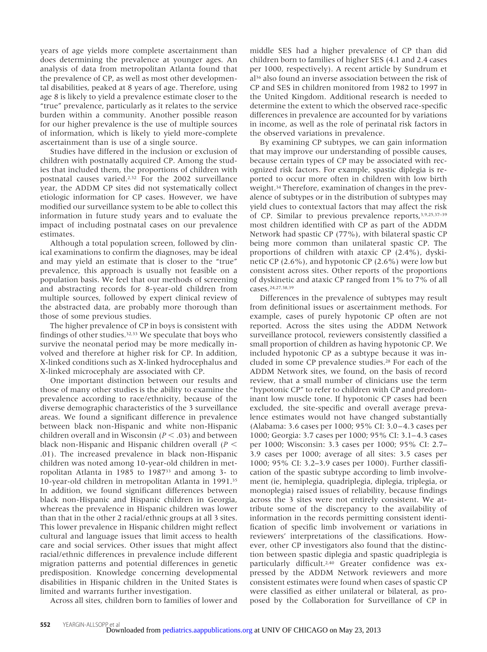years of age yields more complete ascertainment than does determining the prevalence at younger ages. An analysis of data from metropolitan Atlanta found that the prevalence of CP, as well as most other developmental disabilities, peaked at 8 years of age. Therefore, using age 8 is likely to yield a prevalence estimate closer to the "true" prevalence, particularly as it relates to the service burden within a community. Another possible reason for our higher prevalence is the use of multiple sources of information, which is likely to yield more-complete ascertainment than is use of a single source.

Studies have differed in the inclusion or exclusion of children with postnatally acquired CP. Among the studies that included them, the proportions of children with postnatal causes varied.2,32 For the 2002 surveillance year, the ADDM CP sites did not systematically collect etiologic information for CP cases. However, we have modified our surveillance system to be able to collect this information in future study years and to evaluate the impact of including postnatal cases on our prevalence estimates.

Although a total population screen, followed by clinical examinations to confirm the diagnoses, may be ideal and may yield an estimate that is closer to the "true" prevalence, this approach is usually not feasible on a population basis. We feel that our methods of screening and abstracting records for 8-year-old children from multiple sources, followed by expert clinical review of the abstracted data, are probably more thorough than those of some previous studies.

The higher prevalence of CP in boys is consistent with findings of other studies.32,33 We speculate that boys who survive the neonatal period may be more medically involved and therefore at higher risk for CP. In addition, X-linked conditions such as X-linked hydrocephalus and X-linked microcephaly are associated with CP.

One important distinction between our results and those of many other studies is the ability to examine the prevalence according to race/ethnicity, because of the diverse demographic characteristics of the 3 surveillance areas. We found a significant difference in prevalence between black non-Hispanic and white non-Hispanic children overall and in Wisconsin ( $P < .03$ ) and between black non-Hispanic and Hispanic children overall (*P* .01). The increased prevalence in black non-Hispanic children was noted among 10-year-old children in metropolitan Atlanta in 1985 to 198733 and among 3- to 10-year-old children in metropolitan Atlanta in 1991.35 In addition, we found significant differences between black non-Hispanic and Hispanic children in Georgia, whereas the prevalence in Hispanic children was lower than that in the other 2 racial/ethnic groups at all 3 sites. This lower prevalence in Hispanic children might reflect cultural and language issues that limit access to health care and social services. Other issues that might affect racial/ethnic differences in prevalence include different migration patterns and potential differences in genetic predisposition. Knowledge concerning developmental disabilities in Hispanic children in the United States is limited and warrants further investigation.

Across all sites, children born to families of lower and

middle SES had a higher prevalence of CP than did children born to families of higher SES (4.1 and 2.4 cases per 1000, respectively). A recent article by Sundrum et al36 also found an inverse association between the risk of CP and SES in children monitored from 1982 to 1997 in the United Kingdom. Additional research is needed to determine the extent to which the observed race-specific differences in prevalence are accounted for by variations in income, as well as the role of perinatal risk factors in the observed variations in prevalence.

By examining CP subtypes, we can gain information that may improve our understanding of possible causes, because certain types of CP may be associated with recognized risk factors. For example, spastic diplegia is reported to occur more often in children with low birth weight.34 Therefore, examination of changes in the prevalence of subtypes or in the distribution of subtypes may yield clues to contextual factors that may affect the risk of CP. Similar to previous prevalence reports,3,9,25,37–39 most children identified with CP as part of the ADDM Network had spastic CP (77%), with bilateral spastic CP being more common than unilateral spastic CP. The proportions of children with ataxic CP (2.4%), dyskinetic CP (2.6%), and hypotonic CP (2.6%) were low but consistent across sites. Other reports of the proportions of dyskinetic and ataxic CP ranged from 1% to 7% of all cases.24,27,38,39

Differences in the prevalence of subtypes may result from definitional issues or ascertainment methods. For example, cases of purely hypotonic CP often are not reported. Across the sites using the ADDM Network surveillance protocol, reviewers consistently classified a small proportion of children as having hypotonic CP. We included hypotonic CP as a subtype because it was included in some CP prevalence studies.28 For each of the ADDM Network sites, we found, on the basis of record review, that a small number of clinicians use the term "hypotonic CP" to refer to children with CP and predominant low muscle tone. If hypotonic CP cases had been excluded, the site-specific and overall average prevalence estimates would not have changed substantially (Alabama: 3.6 cases per 1000; 95% CI: 3.0 – 4.3 cases per 1000; Georgia: 3.7 cases per 1000; 95% CI: 3.1– 4.3 cases per 1000; Wisconsin: 3.3 cases per 1000; 95% CI: 2.7– 3.9 cases per 1000; average of all sites: 3.5 cases per 1000; 95% CI: 3.2–3.9 cases per 1000). Further classification of the spastic subtype according to limb involvement (ie, hemiplegia, quadriplegia, diplegia, triplegia, or monoplegia) raised issues of reliability, because findings across the 3 sites were not entirely consistent. We attribute some of the discrepancy to the availability of information in the records permitting consistent identification of specific limb involvement or variations in reviewers' interpretations of the classifications. However, other CP investigators also found that the distinction between spastic diplegia and spastic quadriplegia is particularly difficult.<sup>2,40</sup> Greater confidence was expressed by the ADDM Network reviewers and more consistent estimates were found when cases of spastic CP were classified as either unilateral or bilateral, as proposed by the Collaboration for Surveillance of CP in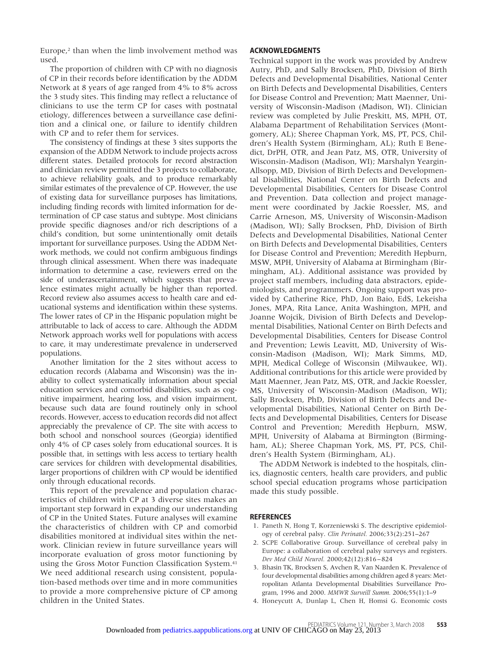Europe,<sup>2</sup> than when the limb involvement method was used.

The proportion of children with CP with no diagnosis of CP in their records before identification by the ADDM Network at 8 years of age ranged from 4% to 8% across the 3 study sites. This finding may reflect a reluctance of clinicians to use the term CP for cases with postnatal etiology, differences between a surveillance case definition and a clinical one, or failure to identify children with CP and to refer them for services.

The consistency of findings at these 3 sites supports the expansion of the ADDM Network to include projects across different states. Detailed protocols for record abstraction and clinician review permitted the 3 projects to collaborate, to achieve reliability goals, and to produce remarkably similar estimates of the prevalence of CP. However, the use of existing data for surveillance purposes has limitations, including finding records with limited information for determination of CP case status and subtype. Most clinicians provide specific diagnoses and/or rich descriptions of a child's condition, but some unintentionally omit details important for surveillance purposes. Using the ADDM Network methods, we could not confirm ambiguous findings through clinical assessment. When there was inadequate information to determine a case, reviewers erred on the side of underascertainment, which suggests that prevalence estimates might actually be higher than reported. Record review also assumes access to health care and educational systems and identification within these systems. The lower rates of CP in the Hispanic population might be attributable to lack of access to care. Although the ADDM Network approach works well for populations with access to care, it may underestimate prevalence in underserved populations.

Another limitation for the 2 sites without access to education records (Alabama and Wisconsin) was the inability to collect systematically information about special education services and comorbid disabilities, such as cognitive impairment, hearing loss, and vision impairment, because such data are found routinely only in school records. However, access to education records did not affect appreciably the prevalence of CP. The site with access to both school and nonschool sources (Georgia) identified only 4% of CP cases solely from educational sources. It is possible that, in settings with less access to tertiary health care services for children with developmental disabilities, larger proportions of children with CP would be identified only through educational records.

This report of the prevalence and population characteristics of children with CP at 3 diverse sites makes an important step forward in expanding our understanding of CP in the United States. Future analyses will examine the characteristics of children with CP and comorbid disabilities monitored at individual sites within the network. Clinician review in future surveillance years will incorporate evaluation of gross motor functioning by using the Gross Motor Function Classification System.<sup>41</sup> We need additional research using consistent, population-based methods over time and in more communities to provide a more comprehensive picture of CP among children in the United States.

#### **ACKNOWLEDGMENTS**

Technical support in the work was provided by Andrew Autry, PhD, and Sally Brocksen, PhD, Division of Birth Defects and Developmental Disabilities, National Center on Birth Defects and Developmental Disabilities, Centers for Disease Control and Prevention; Matt Maenner, University of Wisconsin-Madison (Madison, WI). Clinician review was completed by Julie Preskitt, MS, MPH, OT, Alabama Department of Rehabilitation Services (Montgomery, AL); Sheree Chapman York, MS, PT, PCS, Children's Health System (Birmingham, AL); Ruth E Benedict, DrPH, OTR, and Jean Patz, MS, OTR, University of Wisconsin-Madison (Madison, WI); Marshalyn Yeargin-Allsopp, MD, Division of Birth Defects and Developmental Disabilities, National Center on Birth Defects and Developmental Disabilities, Centers for Disease Control and Prevention. Data collection and project management were coordinated by Jackie Roessler, MS, and Carrie Arneson, MS, University of Wisconsin-Madison (Madison, WI); Sally Brocksen, PhD, Division of Birth Defects and Developmental Disabilities, National Center on Birth Defects and Developmental Disabilities, Centers for Disease Control and Prevention; Meredith Hepburn, MSW, MPH, University of Alabama at Birmingham (Birmingham, AL). Additional assistance was provided by project staff members, including data abstractors, epidemiologists, and programmers. Ongoing support was provided by Catherine Rice, PhD, Jon Baio, EdS, Lekeisha Jones, MPA, Rita Lance, Anita Washington, MPH, and Joanne Wojcik, Division of Birth Defects and Developmental Disabilities, National Center on Birth Defects and Developmental Disabilities, Centers for Disease Control and Prevention; Lewis Leavitt, MD, University of Wisconsin-Madison (Madison, WI); Mark Simms, MD, MPH, Medical College of Wisconsin (Milwaukee, WI). Additional contributions for this article were provided by Matt Maenner, Jean Patz, MS, OTR, and Jackie Roessler, MS, University of Wisconsin-Madison (Madison, WI); Sally Brocksen, PhD, Division of Birth Defects and Developmental Disabilities, National Center on Birth Defects and Developmental Disabilities, Centers for Disease Control and Prevention; Meredith Hepburn, MSW, MPH, University of Alabama at Birmington (Birmingham, AL); Sheree Chapman York, MS, PT, PCS, Children's Health System (Birmingham, AL).

The ADDM Network is indebted to the hospitals, clinics, diagnostic centers, health care providers, and public school special education programs whose participation made this study possible.

#### **REFERENCES**

- 1. Paneth N, Hong T, Korzeniewski S. The descriptive epidemiology of cerebral palsy. *Clin Perinatol.* 2006;33(2):251–267
- 2. SCPE Collaborative Group. Surveillance of cerebral palsy in Europe: a collaboration of cerebral palsy surveys and registers. *Dev Med Child Neurol.* 2000;42(12):816 – 824
- 3. Bhasin TK, Brocksen S, Avchen R, Van Naarden K. Prevalence of four developmental disabilities among children aged 8 years: Metropolitan Atlanta Developmental Disabilities Surveillance Program, 1996 and 2000. *MMWR Surveill Summ.* 2006;55(1):1–9
- 4. Honeycutt A, Dunlap L, Chen H, Homsi G. Economic costs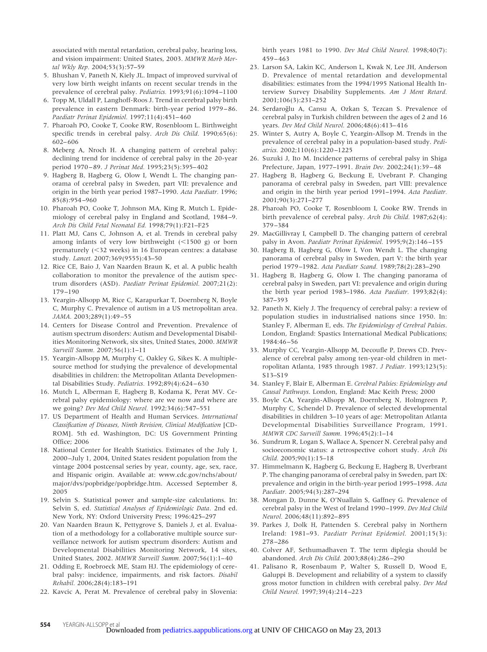associated with mental retardation, cerebral palsy, hearing loss, and vision impairment: United States, 2003. *MMWR Morb Mortal Wkly Rep.* 2004;53(3):57–59

- 5. Bhushan V, Paneth N, Kiely JL. Impact of improved survival of very low birth weight infants on recent secular trends in the prevalence of cerebral palsy. *Pediatrics.* 1993;91(6):1094 –1100
- 6. Topp M, Uldall P, Langhoff-Roos J. Trend in cerebral palsy birth prevalence in eastern Denmark: birth-year period 1979 – 86. *Paediatr Perinat Epidemiol.* 1997;11(4):451– 460
- 7. Pharoah PO, Cooke T, Cooke RW, Rosenbloom L. Birthweight specific trends in cerebral palsy. *Arch Dis Child.* 1990;65(6): 602– 606
- 8. Meberg A, Nroch H. A changing pattern of cerebral palsy: declining trend for incidence of cerebral palsy in the 20-year period 1970 – 89. *J Perinat Med.* 1995;23(5):395– 402
- 9. Hagberg B, Hagberg G, Olow I, Wendt L. The changing panorama of cerebral palsy in Sweden, part VII: prevalence and origin in the birth year period 1987–1990. *Acta Paediatr.* 1996; 85(8):954 –960
- 10. Pharoah PO, Cooke T, Johnson MA, King R, Mutch L. Epidemiology of cerebral palsy in England and Scotland, 1984 –9. *Arch Dis Child Fetal Neonatal Ed.* 1998;79(1):F21–F25
- 11. Platt MJ, Cans C, Johnson A, et al. Trends in cerebral palsy among infants of very low birthweight  $(<1500 g)$  or born prematurely (32 weeks) in 16 European centres: a database study. *Lancet.* 2007;369(9555):43–50
- 12. Rice CE, Baio J, Van Naarden Braun K, et al. A public health collaboration to monitor the prevalence of the autism spectrum disorders (ASD). *Paediatr Perinat Epidemiol.* 2007;21(2): 179 –190
- 13. Yeargin-Allsopp M, Rice C, Karapurkar T, Doernberg N, Boyle C, Murphy C. Prevalence of autism in a US metropolitan area. *JAMA.* 2003;289(1):49 –55
- 14. Centers for Disease Control and Prevention. Prevalence of autism spectrum disorders: Autism and Developmental Disabilities Monitoring Network, six sites, United States, 2000. *MMWR Surveill Summ.* 2007;56(1):1–11
- 15. Yeargin-Allsopp M, Murphy C, Oakley G, Sikes K. A multiplesource method for studying the prevalence of developmental disabilities in children: the Metropolitan Atlanta Developmental Disabilities Study. *Pediatrics.* 1992;89(4):624 – 630
- 16. Mutch L, Alberman E, Hagberg B, Kodama K, Perat MV. Cerebral palsy epidemiology: where are we now and where are we going? *Dev Med Child Neurol.* 1992;34(6):547–551
- 17. US Department of Health and Human Services. *International Classification of Diseases, Ninth Revision, Clinical Modification* [CD-ROM]. 5th ed. Washington, DC: US Government Printing Office; 2006
- 18. National Center for Health Statistics. Estimates of the July 1, 2000 –July 1, 2004, United States resident population from the vintage 2004 postcensal series by year, county, age, sex, race, and Hispanic origin. Available at: www.cdc.gov/nchs/about/ major/dvs/popbridge/popbridge.htm. Accessed September 8, 2005
- 19. Selvin S. Statistical power and sample-size calculations. In: Selvin S, ed. *Statistical Analyses of Epidemiologic Data*. 2nd ed. New York, NY: Oxford University Press; 1996:425–297
- 20. Van Naarden Braun K, Pettygrove S, Daniels J, et al. Evaluation of a methodology for a collaborative multiple source surveillance network for autism spectrum disorders: Autism and Developmental Disabilities Monitoring Network, 14 sites, United States, 2002. *MMWR Surveill Summ.* 2007;56(1):1– 40
- 21. Odding E, Roebroeck ME, Stam HJ. The epidemiology of cerebral palsy: incidence, impairments, and risk factors. *Disabil Rehabil.* 2006;28(4):183–191
- 22. Kavcic A, Perat M. Prevalence of cerebral palsy in Slovenia:

birth years 1981 to 1990. *Dev Med Child Neurol.* 1998;40(7): 459 – 463

- 23. Larson SA, Lakin KC, Anderson L, Kwak N, Lee JH, Anderson D. Prevalence of mental retardation and developmental disabilities: estimates from the 1994/1995 National Health Interview Survey Disability Supplements. *Am J Ment Retard.* 2001;106(3):231–252
- 24. Serdaroğlu A, Cansu A, Ozkan S, Tezcan S. Prevalence of cerebral palsy in Turkish children between the ages of 2 and 16 years. *Dev Med Child Neurol.* 2006;48(6):413-416
- 25. Winter S, Autry A, Boyle C, Yeargin-Allsop M. Trends in the prevalence of cerebral palsy in a population-based study. *Pediatrics.* 2002;110(6):1220 –1225
- 26. Suzuki J, Ito M. Incidence patterns of cerebral palsy in Shiga Prefecture, Japan, 1977–1991. *Brain Dev.* 2002;24(1):39 – 48
- 27. Hagberg B, Hagberg G, Beckung E, Uvebrant P. Changing panorama of cerebral palsy in Sweden, part VIII: prevalence and origin in the birth year period 1991–1994. *Acta Paediatr.* 2001;90(3):271–277
- 28. Pharoah PO, Cooke T, Rosenbloom I, Cooke RW. Trends in birth prevalence of cerebral palsy. *Arch Dis Child.* 1987;62(4): 379 –384
- 29. MacGillivray I, Campbell D. The changing pattern of cerebral palsy in Avon. *Paediatr Perinat Epidemiol.* 1995;9(2):146 –155
- 30. Hagberg B, Hagberg G, Olow I, Von Wendt L. The changing panorama of cerebral palsy in Sweden, part V: the birth year period 1979 –1982. *Acta Paediatr Scand.* 1989;78(2):283–290
- 31. Hagberg B, Hagberg G, Olow I. The changing panorama of cerebral palsy in Sweden, part VI: prevalence and origin during the birth year period 1983–1986. *Acta Paediatr.* 1993;82(4): 387–393
- 32. Paneth N, Kiely J. The frequency of cerebral palsy: a review of population studies in industrialised nations since 1950. In: Stanley F, Alberman E, eds. *The Epidemiology of Cerebral Palsies*. London, England: Spastics International Medical Publications; 1984:46 –56
- 33. Murphy CC, Yeargin-Allsopp M, Decoufle P, Drews CD. Prevalence of cerebral palsy among ten-year-old children in metropolitan Atlanta, 1985 through 1987. *J Pediatr.* 1993;123(5): S13–S19
- 34. Stanley F, Blair E, Alberman E. *Cerebral Palsies: Epidemiology and Causal Pathways*. London, England: Mac Keith Press; 2000
- 35. Boyle CA, Yeargin-Allsopp M, Doernberg N, Holmgreen P, Murphy C, Schendel D. Prevalence of selected developmental disabilities in children 3–10 years of age: Metropolitan Atlanta Developmental Disabilities Surveillance Program, 1991. *MMWR CDC Surveill Summ.* 1996;45(2):1–14
- 36. Sundrum R, Logan S, Wallace A, Spencer N. Cerebral palsy and socioeconomic status: a retrospective cohort study. *Arch Dis Child.* 2005;90(1):15–18
- 37. Himmelmann K, Hagberg G, Beckung E, Hagberg B, Uverbrant P. The changing panorama of cerebral palsy in Sweden, part IX: prevalence and origin in the birth-year period 1995–1998. *Acta Paediatr.* 2005;94(3):287–294
- 38. Mongan D, Dunne K, O'Nuallain S, Gaffney G. Prevalence of cerebral palsy in the West of Ireland 1990 –1999. *Dev Med Child Neurol.* 2006;48(11):892– 895
- 39. Parkes J, Dolk H, Pattenden S. Cerebral palsy in Northern Ireland: 1981–93. *Paediatr Perinat Epidemiol.* 2001;15(3): 278 –286
- 40. Colver AF, Sethumadhaven T. The term diplegia should be abandoned. *Arch Dis Child.* 2003;88(4):286 –290
- 41. Palisano R, Rosenbaum P, Walter S, Russell D, Wood E, Galuppi B. Development and reliability of a system to classify gross motor function in children with cerebral palsy. *Dev Med Child Neurol.* 1997;39(4):214 –223